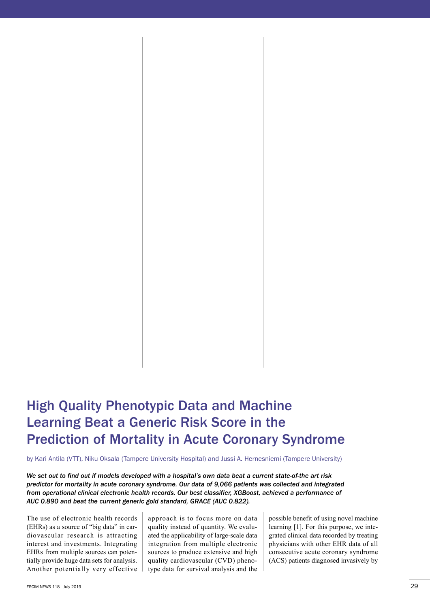## High Quality Phenotypic Data and Machine Learning beat a Generic Risk Score in the Prediction of Mortality in Acute Coronary Syndrome

by Kari Antila (VTT), Niku Oksala (Tampere University Hospital) and Jussi A. Hernesniemi (Tampere University)

*We set out to find out if models developed with a hospital's own data beat a current state-of-the art risk predictor for mortality in acute coronary syndrome. Our data of 9,066 patients was collected and integrated from operational clinical electronic health records. Our best classifier, XGBoost, achieved a performance of AUC 0.890 and beat the current generic gold standard, GRACE (AUC 0.822).*

The use of electronic health records (EHRs) as a source of "big data" in cardiovascular research is attracting interest and investments. Integrating EHRs from multiple sources can potentially provide huge data sets for analysis. Another potentially very effective approach is to focus more on data quality instead of quantity. We evaluated the applicability of large-scale data integration from multiple electronic sources to produce extensive and high quality cardiovascular (CVD) phenotype data for survival analysis and the

possible benefit of using novel machine learning [1]. For this purpose, we integrated clinical data recorded by treating physicians with other EHR data of all consecutive acute coronary syndrome (ACS) patients diagnosed invasively by